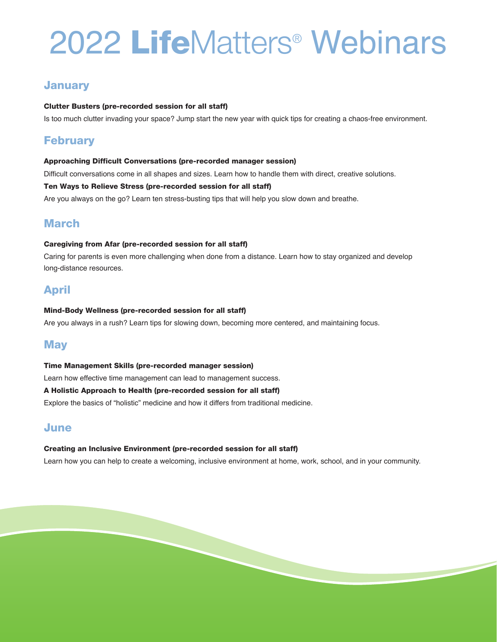# 2022 **Life**Matters® Webinars

## **January**

## **Clutter Busters (pre-recorded session for all staff)**

Is too much clutter invading your space? Jump start the new year with quick tips for creating a chaos-free environment.

## **February**

#### **Approaching Difficult Conversations (pre-recorded manager session)**

Difficult conversations come in all shapes and sizes. Learn how to handle them with direct, creative solutions.

#### **Ten Ways to Relieve Stress (pre-recorded session for all staff)**

Are you always on the go? Learn ten stress-busting tips that will help you slow down and breathe.

# **March**

## **Caregiving from Afar (pre-recorded session for all staff)**

Caring for parents is even more challenging when done from a distance. Learn how to stay organized and develop long-distance resources.

# **April**

## **Mind-Body Wellness (pre-recorded session for all staff)**

Are you always in a rush? Learn tips for slowing down, becoming more centered, and maintaining focus.

# **May**

#### **Time Management Skills (pre-recorded manager session)**

Learn how effective time management can lead to management success.

## **A Holistic Approach to Health (pre-recorded session for all staff)**

Explore the basics of "holistic" medicine and how it differs from traditional medicine.

## **June**

## **Creating an Inclusive Environment (pre-recorded session for all staff)**

Learn how you can help to create a welcoming, inclusive environment at home, work, school, and in your community.